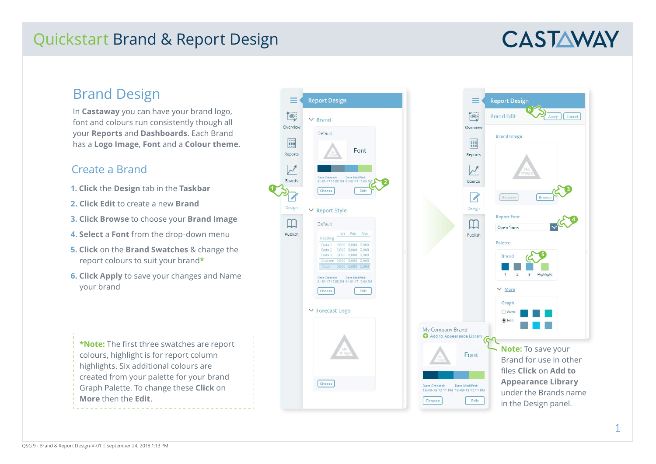## Quickstart Brand & Report Design

# **CASTAWAY**

### Brand Design

In **Castaway** you can have your brand logo, font and colours run consistently though all your **Reports** and **Dashboards**. Each Brand has a **Logo Image**, **Font** and a **Colour theme** .

#### Create a Brand

- **1. Click** the **Design** tab in the **Taskbar**
- **2. Click Edit** to create a new **Brand**
- **3. Click Browse** to choose your **Brand Image**
- **4. Select** a **Font** from the drop-down menu
- **5. Click** on the **Brand Swatches** & change the report colours to suit your brand **\***
- **6. Click Apply** to save your changes and Name your brand

**\*Note:** The first three swatches are report colours, highlight is for report column highlights. Six additional colours are created from your palette for your brand Graph Palette. To change these **Click** on **More** then the **Edit** .



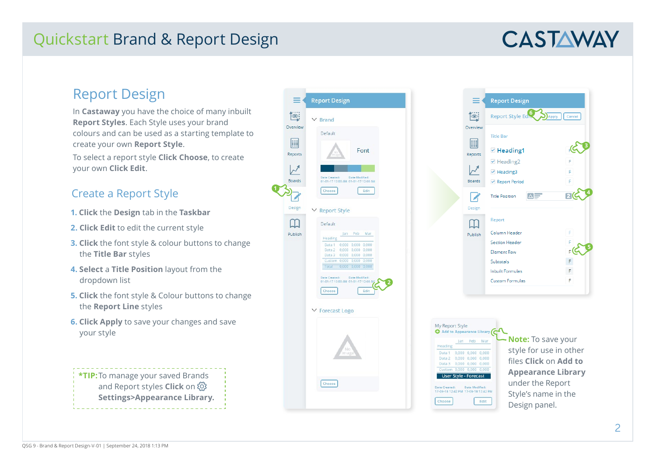## Quickstart Brand & Report Design

# **CASTAWAY**

**3**

Cancel

 $R$ 

**D**Apply

### Report Design

In **Castaway** you have the choice of many inbuilt **Report Styles**. Each Style uses your brand colours and can be used as a starting template to create your own **Report Style**. To select a report style **Click Choose**, to create your own **Click Edit** .

**1**

#### Create a Report Style

- **1. Click** the **Design** tab in the **Taskbar**
- **2. Click Edit** to edit the current style
- **3. Click** the font style & colour buttons to change the **Title Bar** styles
- **4. Select** a **Title Position** layout from the dropdown list
- **5. Click** the font style & Colour buttons to change the **Report Line** styles
- **6. Click Apply** to save your changes and save your style

**\*TIP:**To manage your saved Brands and Report styles **Click** on **Settings>Appearance Library.**



**54** F F **Note:** To save your style for use in other files **Click** on **Add to Appearance Library**  under the Report Style's name in the Design panel.